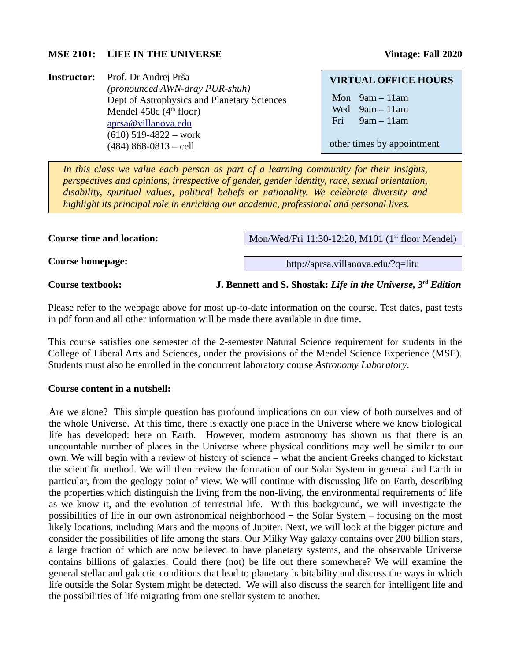### **MSE 2101:** LIFE IN THE UNIVERSE Vintage: Fall 2020

**Instructor:** Prof. Dr Andrej Prša *(pronounced AWN-dray PUR-shuh)* Dept of Astrophysics and Planetary Sciences Mendel 458 $c$  (4<sup>th</sup> floor) [aprsa@villanova.edu](mailto:aprsa@villanova.edu) (610) 519-4822 – work (484) 868-0813 – cell

#### **VIRTUAL OFFICE HOURS**

Mon 9am – 11am Wed 9am – 11am Fri 9am – 11am

other times by appointment

*In this class we value each person as part of a learning community for their insights, perspectives and opinions, irrespective of gender, gender identity, race, sexual orientation, disability, spiritual values, political beliefs or nationality. We celebrate diversity and highlight its principal role in enriching our academic, professional and personal lives.*

**Course time and location:**

Mon/Wed/Fri 11:30-12:20, M101 (1<sup>st</sup> floor Mendel)

http://aprsa.villanova.edu/?q=litu

**Course homepage:**

**Course textbook: J. Bennett and S. Shostak:** *Life in the Universe, 3rd Edition*

Please refer to the webpage above for most up-to-date information on the course. Test dates, past tests in pdf form and all other information will be made there available in due time.

This course satisfies one semester of the 2-semester Natural Science requirement for students in the College of Liberal Arts and Sciences, under the provisions of the Mendel Science Experience (MSE). Students must also be enrolled in the concurrent laboratory course *Astronomy Laboratory*.

## **Course content in a nutshell:**

Are we alone? This simple question has profound implications on our view of both ourselves and of the whole Universe. At this time, there is exactly one place in the Universe where we know biological life has developed: here on Earth. However, modern astronomy has shown us that there is an uncountable number of places in the Universe where physical conditions may well be similar to our own. We will begin with a review of history of science – what the ancient Greeks changed to kickstart the scientific method. We will then review the formation of our Solar System in general and Earth in particular, from the geology point of view. We will continue with discussing life on Earth, describing the properties which distinguish the living from the non-living, the environmental requirements of life as we know it, and the evolution of terrestrial life. With this background, we will investigate the possibilities of life in our own astronomical neighborhood − the Solar System – focusing on the most likely locations, including Mars and the moons of Jupiter. Next, we will look at the bigger picture and consider the possibilities of life among the stars. Our Milky Way galaxy contains over 200 billion stars, a large fraction of which are now believed to have planetary systems, and the observable Universe contains billions of galaxies. Could there (not) be life out there somewhere? We will examine the general stellar and galactic conditions that lead to planetary habitability and discuss the ways in which life outside the Solar System might be detected. We will also discuss the search for intelligent life and the possibilities of life migrating from one stellar system to another.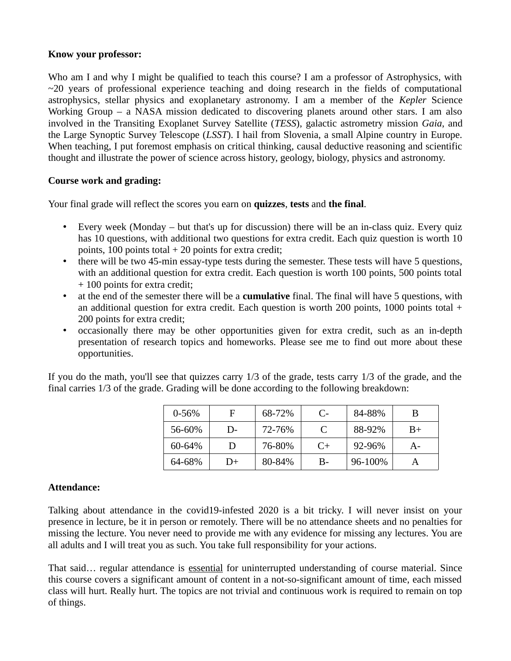## **Know your professor:**

Who am I and why I might be qualified to teach this course? I am a professor of Astrophysics, with  $\sim$ 20 years of professional experience teaching and doing research in the fields of computational astrophysics, stellar physics and exoplanetary astronomy. I am a member of the *Kepler* Science Working Group – a NASA mission dedicated to discovering planets around other stars. I am also involved in the Transiting Exoplanet Survey Satellite (*TESS*), galactic astrometry mission *Gaia*, and the Large Synoptic Survey Telescope (*LSST*). I hail from Slovenia, a small Alpine country in Europe. When teaching, I put foremost emphasis on critical thinking, causal deductive reasoning and scientific thought and illustrate the power of science across history, geology, biology, physics and astronomy.

# **Course work and grading:**

Your final grade will reflect the scores you earn on **quizzes**, **tests** and **the final**.

- Every week (Monday but that's up for discussion) there will be an in-class quiz. Every quiz has 10 questions, with additional two questions for extra credit. Each quiz question is worth 10 points, 100 points total  $+$  20 points for extra credit;
- there will be two 45-min essay-type tests during the semester. These tests will have 5 questions, with an additional question for extra credit. Each question is worth 100 points, 500 points total + 100 points for extra credit;
- at the end of the semester there will be a **cumulative** final. The final will have 5 questions, with an additional question for extra credit. Each question is worth 200 points, 1000 points total + 200 points for extra credit;
- occasionally there may be other opportunities given for extra credit, such as an in-depth presentation of research topics and homeworks. Please see me to find out more about these opportunities.

If you do the math, you'll see that quizzes carry 1/3 of the grade, tests carry 1/3 of the grade, and the final carries 1/3 of the grade. Grading will be done according to the following breakdown:

| $0 - 56%$ |    | 68-72% | $C$ - | 84-88%  | B    |
|-----------|----|--------|-------|---------|------|
| 56-60%    | D- | 72-76% |       | 88-92%  | $B+$ |
| 60-64%    | Ð  | 76-80% | $C+$  | 92-96%  | A-   |
| 64-68%    | D+ | 80-84% | В-    | 96-100% |      |

## **Attendance:**

Talking about attendance in the covid19-infested 2020 is a bit tricky. I will never insist on your presence in lecture, be it in person or remotely. There will be no attendance sheets and no penalties for missing the lecture. You never need to provide me with any evidence for missing any lectures. You are all adults and I will treat you as such. You take full responsibility for your actions.

That said… regular attendance is essential for uninterrupted understanding of course material. Since this course covers a significant amount of content in a not-so-significant amount of time, each missed class will hurt. Really hurt. The topics are not trivial and continuous work is required to remain on top of things.